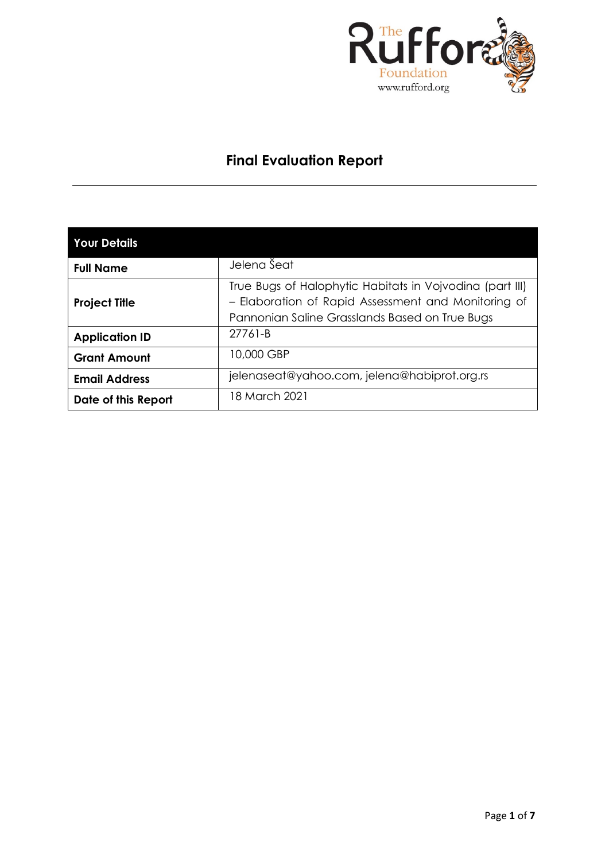

# **Final Evaluation Report**

| <b>Your Details</b>   |                                                                                                                                                                   |
|-----------------------|-------------------------------------------------------------------------------------------------------------------------------------------------------------------|
| <b>Full Name</b>      | Jelena Šeat                                                                                                                                                       |
| <b>Project Title</b>  | True Bugs of Halophytic Habitats in Vojvodina (part III)<br>- Elaboration of Rapid Assessment and Monitoring of<br>Pannonian Saline Grasslands Based on True Bugs |
| <b>Application ID</b> | 27761-B                                                                                                                                                           |
| <b>Grant Amount</b>   | 10,000 GBP                                                                                                                                                        |
| <b>Email Address</b>  | jelenaseat@yahoo.com, jelena@habiprot.org.rs                                                                                                                      |
| Date of this Report   | 18 March 2021                                                                                                                                                     |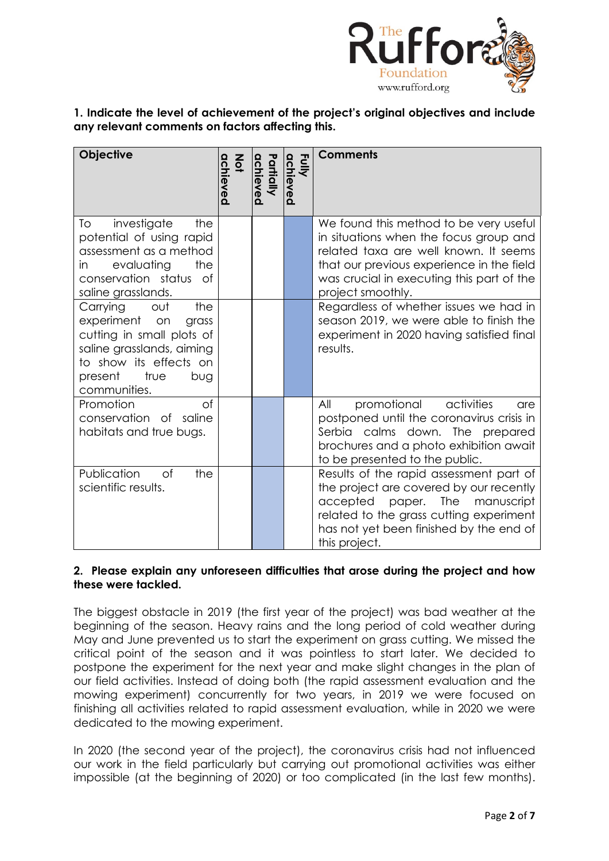

# **1. Indicate the level of achievement of the project's original objectives and include any relevant comments on factors affecting this.**

| <b>Objective</b>                                                                                                                                                               | achieved<br>$rac{2}{9}$ | Partially<br>chieved | Fully<br>achieved | <b>Comments</b>                                                                                                                                                                                                                          |
|--------------------------------------------------------------------------------------------------------------------------------------------------------------------------------|-------------------------|----------------------|-------------------|------------------------------------------------------------------------------------------------------------------------------------------------------------------------------------------------------------------------------------------|
| investigate<br>the<br>To<br>potential of using rapid<br>assessment as a method<br>evaluating<br>the<br>in.<br>conservation status of<br>saline grasslands.                     |                         |                      |                   | We found this method to be very useful<br>in situations when the focus group and<br>related taxa are well known. It seems<br>that our previous experience in the field<br>was crucial in executing this part of the<br>project smoothly. |
| Carrying<br>the<br>out<br>experiment<br>on<br>grass<br>cutting in small plots of<br>saline grasslands, aiming<br>to show its effects on<br>present true<br>bug<br>communities. |                         |                      |                   | Regardless of whether issues we had in<br>season 2019, we were able to finish the<br>experiment in 2020 having satisfied final<br>results.                                                                                               |
| Promotion<br>$\circ$ f<br>conservation of saline<br>habitats and true bugs.                                                                                                    |                         |                      |                   | promotional<br>All<br>activities<br>are<br>postponed until the coronavirus crisis in<br>Serbia calms down. The prepared<br>brochures and a photo exhibition await<br>to be presented to the public.                                      |
| Publication<br>of<br>the<br>scientific results.                                                                                                                                |                         |                      |                   | Results of the rapid assessment part of<br>the project are covered by our recently<br>The<br>accepted<br>paper.<br>manuscript<br>related to the grass cutting experiment<br>has not yet been finished by the end of<br>this project.     |

# **2. Please explain any unforeseen difficulties that arose during the project and how these were tackled.**

The biggest obstacle in 2019 (the first year of the project) was bad weather at the beginning of the season. Heavy rains and the long period of cold weather during May and June prevented us to start the experiment on grass cutting. We missed the critical point of the season and it was pointless to start later. We decided to postpone the experiment for the next year and make slight changes in the plan of our field activities. Instead of doing both (the rapid assessment evaluation and the mowing experiment) concurrently for two years, in 2019 we were focused on finishing all activities related to rapid assessment evaluation, while in 2020 we were dedicated to the mowing experiment.

In 2020 (the second year of the project), the coronavirus crisis had not influenced our work in the field particularly but carrying out promotional activities was either impossible (at the beginning of 2020) or too complicated (in the last few months).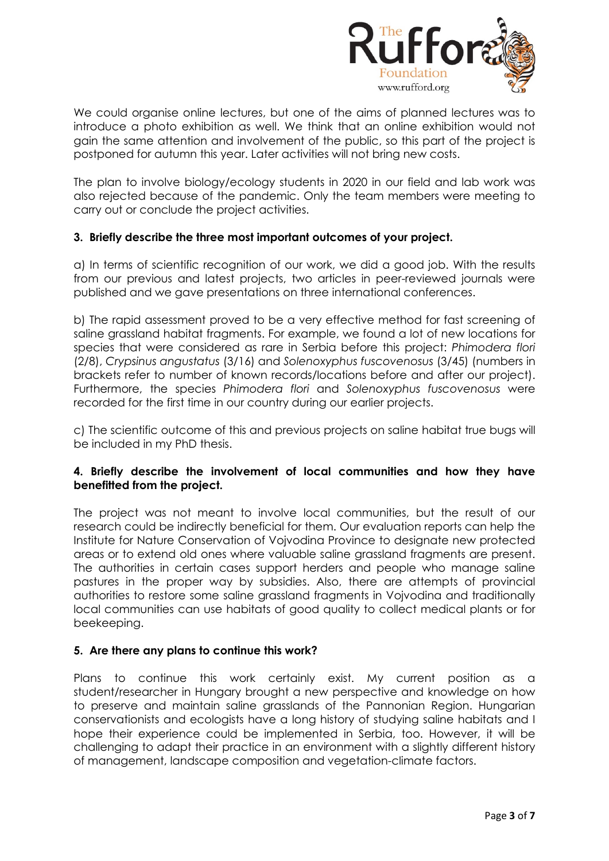

We could organise online lectures, but one of the aims of planned lectures was to introduce a photo exhibition as well. We think that an online exhibition would not gain the same attention and involvement of the public, so this part of the project is postponed for autumn this year. Later activities will not bring new costs.

The plan to involve biology/ecology students in 2020 in our field and lab work was also rejected because of the pandemic. Only the team members were meeting to carry out or conclude the project activities.

# **3. Briefly describe the three most important outcomes of your project.**

a) In terms of scientific recognition of our work, we did a good job. With the results from our previous and latest projects, two articles in peer-reviewed journals were published and we gave presentations on three international conferences.

b) The rapid assessment proved to be a very effective method for fast screening of saline grassland habitat fragments. For example, we found a lot of new locations for species that were considered as rare in Serbia before this project: *Phimodera flori* (2/8), *Crypsinus angustatus* (3/16) and *Solenoxyphus fuscovenosus* (3/45) (numbers in brackets refer to number of known records/locations before and after our project). Furthermore, the species *Phimodera flori* and *Solenoxyphus fuscovenosus* were recorded for the first time in our country during our earlier projects.

c) The scientific outcome of this and previous projects on saline habitat true bugs will be included in my PhD thesis.

# **4. Briefly describe the involvement of local communities and how they have benefitted from the project.**

The project was not meant to involve local communities, but the result of our research could be indirectly beneficial for them. Our evaluation reports can help the Institute for Nature Conservation of Vojvodina Province to designate new protected areas or to extend old ones where valuable saline grassland fragments are present. The authorities in certain cases support herders and people who manage saline pastures in the proper way by subsidies. Also, there are attempts of provincial authorities to restore some saline grassland fragments in Vojvodina and traditionally local communities can use habitats of good quality to collect medical plants or for beekeeping.

#### **5. Are there any plans to continue this work?**

Plans to continue this work certainly exist. My current position as a student/researcher in Hungary brought a new perspective and knowledge on how to preserve and maintain saline grasslands of the Pannonian Region. Hungarian conservationists and ecologists have a long history of studying saline habitats and I hope their experience could be implemented in Serbia, too. However, it will be challenging to adapt their practice in an environment with a slightly different history of management, landscape composition and vegetation-climate factors.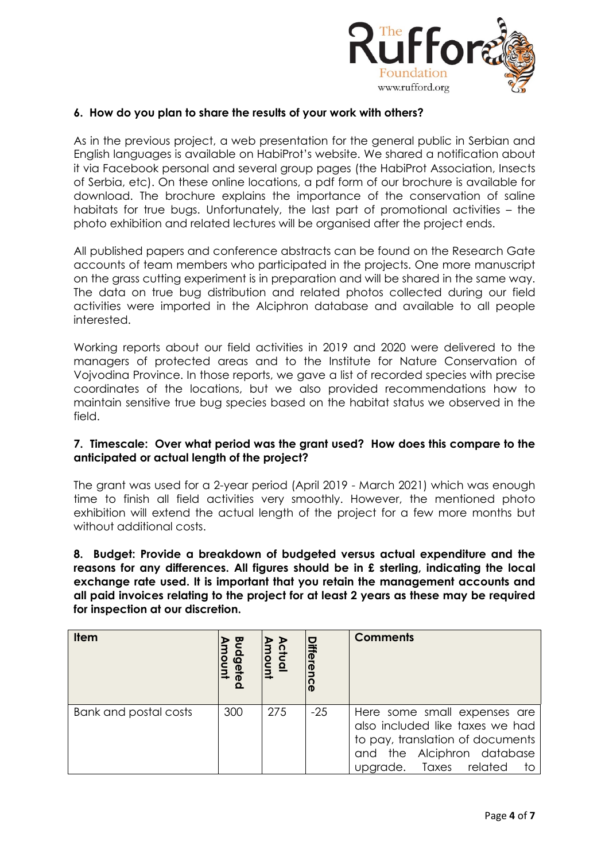

#### **6. How do you plan to share the results of your work with others?**

As in the previous project, a web presentation for the general public in Serbian and English languages is available on HabiProt's website. We shared a notification about it via Facebook personal and several group pages (the HabiProt Association, Insects of Serbia, etc). On these online locations, a pdf form of our brochure is available for download. The brochure explains the importance of the conservation of saline habitats for true bugs. Unfortunately, the last part of promotional activities – the photo exhibition and related lectures will be organised after the project ends.

All published papers and conference abstracts can be found on the Research Gate accounts of team members who participated in the projects. One more manuscript on the grass cutting experiment is in preparation and will be shared in the same way. The data on true bug distribution and related photos collected during our field activities were imported in the Alciphron database and available to all people interested.

Working reports about our field activities in 2019 and 2020 were delivered to the managers of protected areas and to the Institute for Nature Conservation of Vojvodina Province. In those reports, we gave a list of recorded species with precise coordinates of the locations, but we also provided recommendations how to maintain sensitive true bug species based on the habitat status we observed in the field.

#### **7. Timescale: Over what period was the grant used? How does this compare to the anticipated or actual length of the project?**

The grant was used for a 2-year period (April 2019 - March 2021) which was enough time to finish all field activities very smoothly. However, the mentioned photo exhibition will extend the actual length of the project for a few more months but without additional costs.

**8. Budget: Provide a breakdown of budgeted versus actual expenditure and the reasons for any differences. All figures should be in £ sterling, indicating the local exchange rate used. It is important that you retain the management accounts and all paid invoices relating to the project for at least 2 years as these may be required for inspection at our discretion.**

| <b>Item</b>           | ᅞ<br><b>Gel</b> | ctual<br>Inum | iffere!<br>O | <b>Comments</b>                                                                                                                                                   |
|-----------------------|-----------------|---------------|--------------|-------------------------------------------------------------------------------------------------------------------------------------------------------------------|
| Bank and postal costs | 300             | 275           | $-25$        | Here some small expenses are<br>also included like taxes we had<br>to pay, translation of documents<br>and the Alciphron database<br>upgrade. Taxes related<br>to |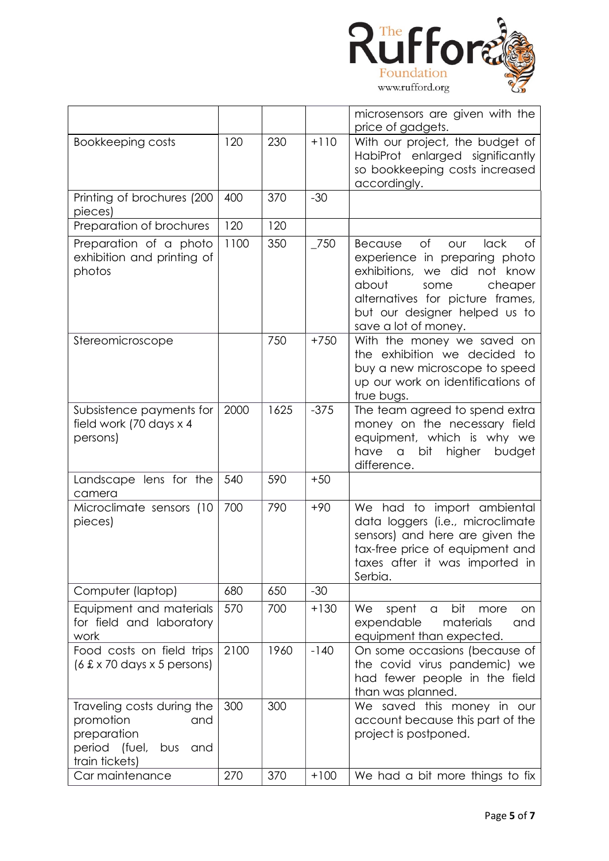

|                                                                                                                |      |      |        | microsensors are given with the<br>price of gadgets.                                                                                                                                                                                |
|----------------------------------------------------------------------------------------------------------------|------|------|--------|-------------------------------------------------------------------------------------------------------------------------------------------------------------------------------------------------------------------------------------|
| Bookkeeping costs                                                                                              | 120  | 230  | $+110$ | With our project, the budget of<br>HabiProt enlarged significantly<br>so bookkeeping costs increased<br>accordingly.                                                                                                                |
| Printing of brochures (200<br>pieces)                                                                          | 400  | 370  | $-30$  |                                                                                                                                                                                                                                     |
| Preparation of brochures                                                                                       | 120  | 120  |        |                                                                                                                                                                                                                                     |
| Preparation of a photo<br>exhibition and printing of<br>photos                                                 | 1100 | 350  | $-750$ | of<br>lack<br>Because<br><b>OUr</b><br>Οf<br>experience in preparing photo<br>exhibitions, we did not know<br>about<br>cheaper<br>some<br>alternatives for picture frames,<br>but our designer helped us to<br>save a lot of money. |
| Stereomicroscope                                                                                               |      | 750  | $+750$ | With the money we saved on<br>the exhibition we decided to<br>buy a new microscope to speed<br>up our work on identifications of<br>true bugs.                                                                                      |
| Subsistence payments for<br>field work (70 days x 4<br>persons)                                                | 2000 | 1625 | $-375$ | The team agreed to spend extra<br>money on the necessary field<br>equipment, which is why we<br>have<br>higher<br>budget<br>$\alpha$<br>bit<br>difference.                                                                          |
| Landscape lens for the<br>camera                                                                               | 540  | 590  | $+50$  |                                                                                                                                                                                                                                     |
| Microclimate sensors (10<br>pieces)                                                                            | 700  | 790  | $+90$  | We had to import ambiental<br>data loggers (i.e., microclimate<br>sensors) and here are given the<br>tax-free price of equipment and<br>taxes after it was imported in<br>Serbia.                                                   |
| Computer (laptop)                                                                                              | 680  | 650  | $-30$  |                                                                                                                                                                                                                                     |
| Equipment and materials<br>for field and laboratory<br>work                                                    | 570  | 700  | $+130$ | bit<br>We<br>spent<br>more<br>$\alpha$<br>on<br>materials<br>expendable<br>and<br>equipment than expected.                                                                                                                          |
| Food costs on field trips<br>(6 £ x 70 days x 5 persons)                                                       | 2100 | 1960 | $-140$ | On some occasions (because of<br>the covid virus pandemic) we<br>had fewer people in the field<br>than was planned.                                                                                                                 |
| Traveling costs during the<br>promotion<br>and<br>preparation<br>period (fuel,<br>bus<br>and<br>train tickets) | 300  | 300  |        | We saved this money in our<br>account because this part of the<br>project is postponed.                                                                                                                                             |
| Car maintenance                                                                                                | 270  | 370  | $+100$ | We had a bit more things to fix                                                                                                                                                                                                     |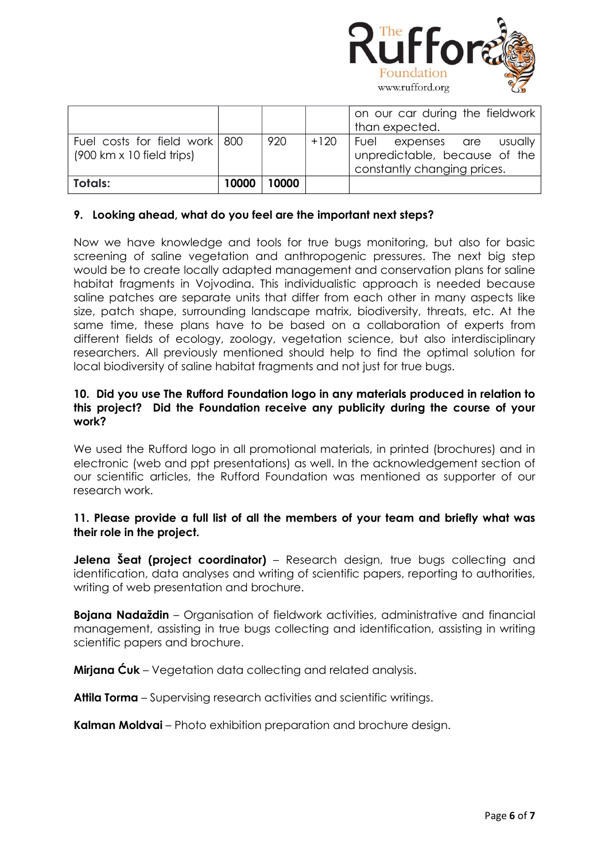

| Fuel costs for field work 800<br>$(900 \text{ km} \times 10 \text{ field trips})$<br>Totals: | 10000 | 920<br>10000 | $+120$ | Fuel expenses are usually<br>unpredictable, because of the<br>constantly changing prices. |
|----------------------------------------------------------------------------------------------|-------|--------------|--------|-------------------------------------------------------------------------------------------|
|                                                                                              |       |              |        | on our car during the fieldwork<br>than expected.                                         |

# **9. Looking ahead, what do you feel are the important next steps?**

Now we have knowledge and tools for true bugs monitoring, but also for basic screening of saline vegetation and anthropogenic pressures. The next big step would be to create locally adapted management and conservation plans for saline habitat fragments in Vojvodina. This individualistic approach is needed because saline patches are separate units that differ from each other in many aspects like size, patch shape, surrounding landscape matrix, biodiversity, threats, etc. At the same time, these plans have to be based on a collaboration of experts from different fields of ecology, zoology, vegetation science, but also interdisciplinary researchers. All previously mentioned should help to find the optimal solution for local biodiversity of saline habitat fragments and not just for true bugs.

#### **10. Did you use The Rufford Foundation logo in any materials produced in relation to this project? Did the Foundation receive any publicity during the course of your work?**

We used the Rufford logo in all promotional materials, in printed (brochures) and in electronic (web and ppt presentations) as well. In the acknowledgement section of our scientific articles, the Rufford Foundation was mentioned as supporter of our research work.

# **11. Please provide a full list of all the members of your team and briefly what was their role in the project.**

**Jelena Šeat (project coordinator)** – Research design, true bugs collecting and identification, data analyses and writing of scientific papers, reporting to authorities, writing of web presentation and brochure.

**Bojana Nadaždin** – Organisation of fieldwork activities, administrative and financial management, assisting in true bugs collecting and identification, assisting in writing scientific papers and brochure.

**Mirjana Ćuk** – Vegetation data collecting and related analysis.

**Attila Torma** – Supervising research activities and scientific writings.

**Kalman Moldvai** – Photo exhibition preparation and brochure design.